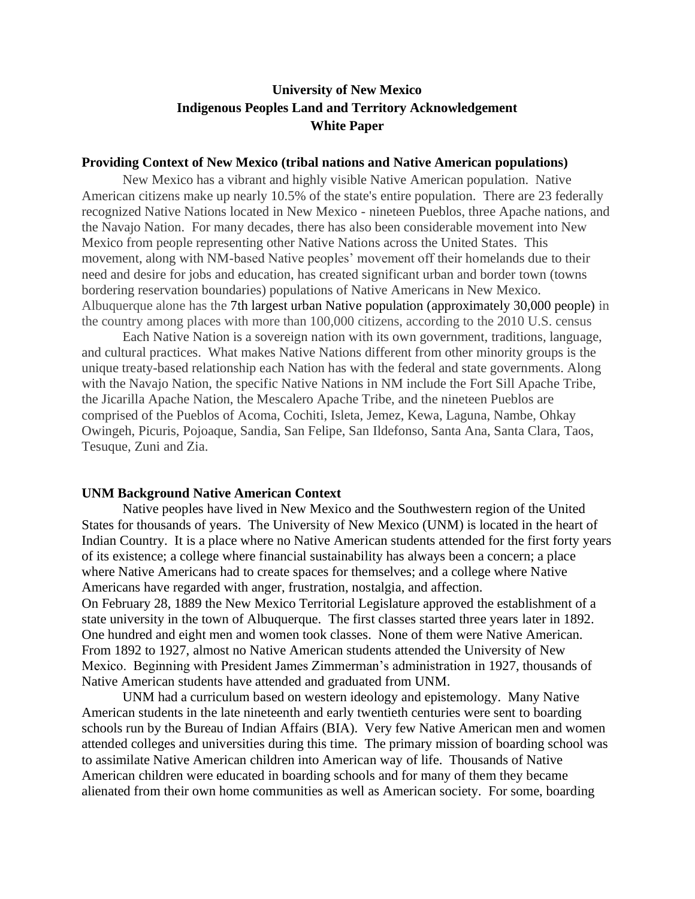# **University of New Mexico Indigenous Peoples Land and Territory Acknowledgement White Paper**

#### **Providing Context of New Mexico (tribal nations and Native American populations)**

New Mexico has a vibrant and highly visible Native American population. Native American citizens make up nearly 10.5% of the state's entire population. There are 23 federally recognized Native Nations located in New Mexico - nineteen Pueblos, three Apache nations, and the Navajo Nation. For many decades, there has also been considerable movement into New Mexico from people representing other Native Nations across the United States. This movement, along with NM-based Native peoples' movement off their homelands due to their need and desire for jobs and education, has created significant urban and border town (towns bordering reservation boundaries) populations of Native Americans in New Mexico. Albuquerque alone has the 7th largest urban Native population (approximately 30,000 people) in the country among places with more than 100,000 citizens, according to the 2010 U.S. census

Each Native Nation is a sovereign nation with its own government, traditions, language, and cultural practices. What makes Native Nations different from other minority groups is the unique treaty-based relationship each Nation has with the federal and state governments. Along with the Navajo Nation, the specific Native Nations in NM include the Fort Sill Apache Tribe, the Jicarilla Apache Nation, the Mescalero Apache Tribe, and the nineteen Pueblos are comprised of the Pueblos of Acoma, Cochiti, Isleta, Jemez, Kewa, Laguna, Nambe, Ohkay Owingeh, Picuris, Pojoaque, Sandia, San Felipe, San Ildefonso, Santa Ana, Santa Clara, Taos, Tesuque, Zuni and Zia.

#### **UNM Background Native American Context**

Native peoples have lived in New Mexico and the Southwestern region of the United States for thousands of years. The University of New Mexico (UNM) is located in the heart of Indian Country. It is a place where no Native American students attended for the first forty years of its existence; a college where financial sustainability has always been a concern; a place where Native Americans had to create spaces for themselves; and a college where Native Americans have regarded with anger, frustration, nostalgia, and affection. On February 28, 1889 the New Mexico Territorial Legislature approved the establishment of a state university in the town of Albuquerque. The first classes started three years later in 1892. One hundred and eight men and women took classes. None of them were Native American. From 1892 to 1927, almost no Native American students attended the University of New Mexico. Beginning with President James Zimmerman's administration in 1927, thousands of Native American students have attended and graduated from UNM.

 UNM had a curriculum based on western ideology and epistemology. Many Native American students in the late nineteenth and early twentieth centuries were sent to boarding schools run by the Bureau of Indian Affairs (BIA). Very few Native American men and women attended colleges and universities during this time. The primary mission of boarding school was to assimilate Native American children into American way of life. Thousands of Native American children were educated in boarding schools and for many of them they became alienated from their own home communities as well as American society. For some, boarding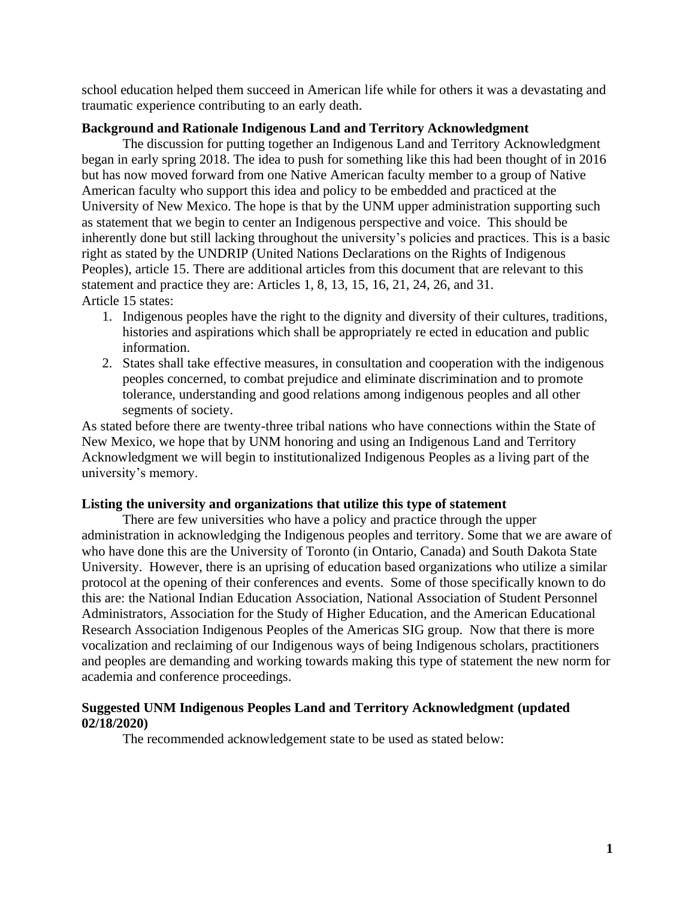school education helped them succeed in American life while for others it was a devastating and traumatic experience contributing to an early death.

### **Background and Rationale Indigenous Land and Territory Acknowledgment**

The discussion for putting together an Indigenous Land and Territory Acknowledgment began in early spring 2018. The idea to push for something like this had been thought of in 2016 but has now moved forward from one Native American faculty member to a group of Native American faculty who support this idea and policy to be embedded and practiced at the University of New Mexico. The hope is that by the UNM upper administration supporting such as statement that we begin to center an Indigenous perspective and voice. This should be inherently done but still lacking throughout the university's policies and practices. This is a basic right as stated by the UNDRIP (United Nations Declarations on the Rights of Indigenous Peoples), article 15. There are additional articles from this document that are relevant to this statement and practice they are: Articles 1, 8, 13, 15, 16, 21, 24, 26, and 31. Article 15 states:

- 1. Indigenous peoples have the right to the dignity and diversity of their cultures, traditions, histories and aspirations which shall be appropriately re ected in education and public information.
- 2. States shall take effective measures, in consultation and cooperation with the indigenous peoples concerned, to combat prejudice and eliminate discrimination and to promote tolerance, understanding and good relations among indigenous peoples and all other segments of society.

As stated before there are twenty-three tribal nations who have connections within the State of New Mexico, we hope that by UNM honoring and using an Indigenous Land and Territory Acknowledgment we will begin to institutionalized Indigenous Peoples as a living part of the university's memory.

### **Listing the university and organizations that utilize this type of statement**

There are few universities who have a policy and practice through the upper administration in acknowledging the Indigenous peoples and territory. Some that we are aware of who have done this are the University of Toronto (in Ontario, Canada) and South Dakota State University. However, there is an uprising of education based organizations who utilize a similar protocol at the opening of their conferences and events. Some of those specifically known to do this are: the National Indian Education Association, National Association of Student Personnel Administrators, Association for the Study of Higher Education, and the American Educational Research Association Indigenous Peoples of the Americas SIG group. Now that there is more vocalization and reclaiming of our Indigenous ways of being Indigenous scholars, practitioners and peoples are demanding and working towards making this type of statement the new norm for academia and conference proceedings.

## **Suggested UNM Indigenous Peoples Land and Territory Acknowledgment (updated 02/18/2020)**

The recommended acknowledgement state to be used as stated below: